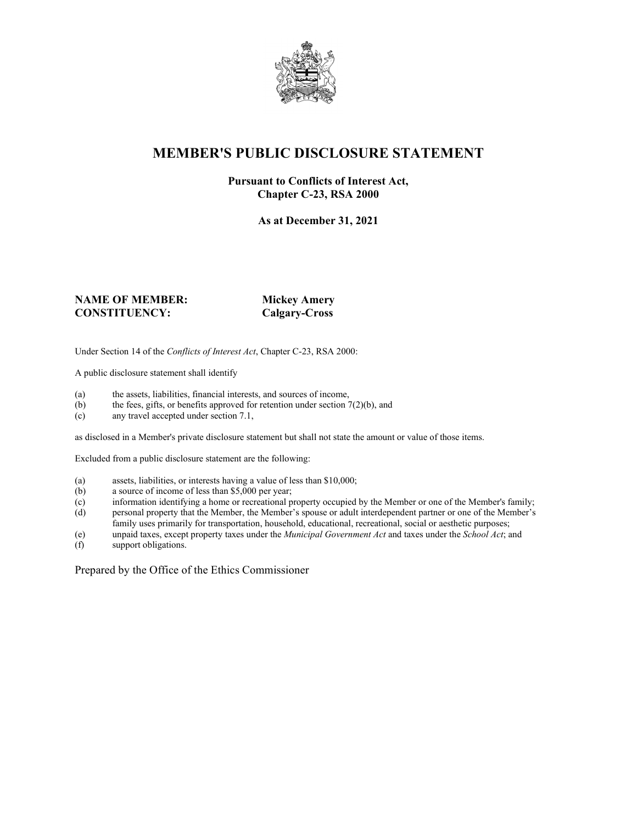

## **MEMBER'S PUBLIC DISCLOSURE STATEMENT**

#### **Pursuant to Conflicts of Interest Act, Chapter C-23, RSA 2000**

**As at December 31, 2021**

#### **NAME OF MEMBER: Mickey Amery CONSTITUENCY: Calgary-Cross**

Under Section 14 of the *Conflicts of Interest Act*, Chapter C-23, RSA 2000:

A public disclosure statement shall identify

- (a) the assets, liabilities, financial interests, and sources of income,  $(b)$  the fees, gifts, or benefits approved for retention under section 7
- the fees, gifts, or benefits approved for retention under section  $7(2)(b)$ , and
- (c) any travel accepted under section 7.1,

as disclosed in a Member's private disclosure statement but shall not state the amount or value of those items.

Excluded from a public disclosure statement are the following:

- (a) assets, liabilities, or interests having a value of less than \$10,000;<br>(b) a source of income of less than \$5,000 per year;
- a source of income of less than  $$5,000$  per year;
- (c) information identifying a home or recreational property occupied by the Member or one of the Member's family;
- (d) personal property that the Member, the Member's spouse or adult interdependent partner or one of the Member's family uses primarily for transportation, household, educational, recreational, social or aesthetic purposes;
- (e) unpaid taxes, except property taxes under the *Municipal Government Act* and taxes under the *School Act*; and
- (f) support obligations.

Prepared by the Office of the Ethics Commissioner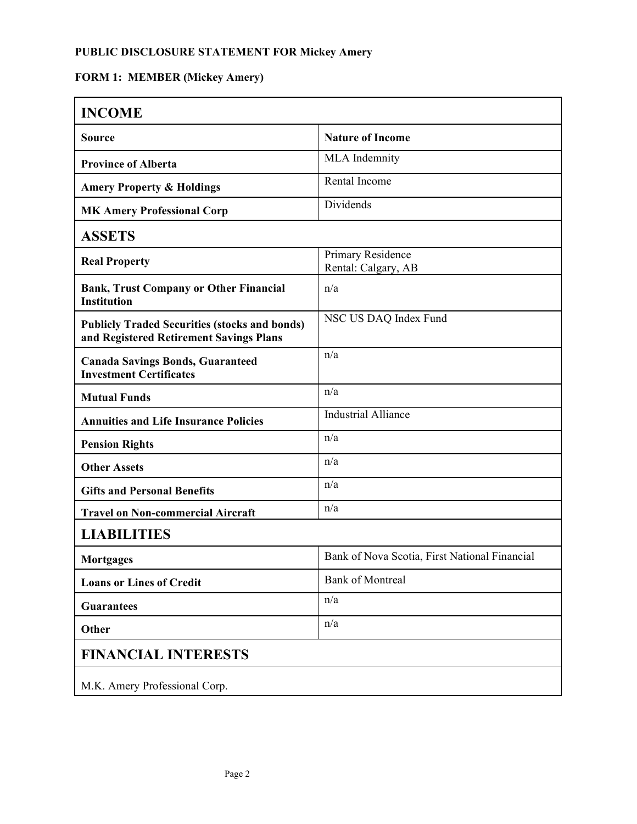# **FORM 1: MEMBER (Mickey Amery)**

| <b>INCOME</b>                                                                                   |                                               |  |
|-------------------------------------------------------------------------------------------------|-----------------------------------------------|--|
| <b>Source</b>                                                                                   | <b>Nature of Income</b>                       |  |
| <b>Province of Alberta</b>                                                                      | MLA Indemnity                                 |  |
| <b>Amery Property &amp; Holdings</b>                                                            | Rental Income                                 |  |
| <b>MK Amery Professional Corp</b>                                                               | Dividends                                     |  |
| <b>ASSETS</b>                                                                                   |                                               |  |
| <b>Real Property</b>                                                                            | Primary Residence<br>Rental: Calgary, AB      |  |
| <b>Bank, Trust Company or Other Financial</b><br><b>Institution</b>                             | n/a                                           |  |
| <b>Publicly Traded Securities (stocks and bonds)</b><br>and Registered Retirement Savings Plans | NSC US DAQ Index Fund                         |  |
| <b>Canada Savings Bonds, Guaranteed</b><br><b>Investment Certificates</b>                       | n/a                                           |  |
| <b>Mutual Funds</b>                                                                             | n/a                                           |  |
| <b>Annuities and Life Insurance Policies</b>                                                    | <b>Industrial Alliance</b>                    |  |
| <b>Pension Rights</b>                                                                           | n/a                                           |  |
| <b>Other Assets</b>                                                                             | n/a                                           |  |
| <b>Gifts and Personal Benefits</b>                                                              | n/a                                           |  |
| <b>Travel on Non-commercial Aircraft</b>                                                        | n/a                                           |  |
| <b>LIABILITIES</b>                                                                              |                                               |  |
| <b>Mortgages</b>                                                                                | Bank of Nova Scotia, First National Financial |  |
| <b>Loans or Lines of Credit</b>                                                                 | <b>Bank of Montreal</b>                       |  |
| <b>Guarantees</b>                                                                               | n/a                                           |  |
| Other                                                                                           | n/a                                           |  |
| <b>FINANCIAL INTERESTS</b>                                                                      |                                               |  |
| M.K. Amery Professional Corp.                                                                   |                                               |  |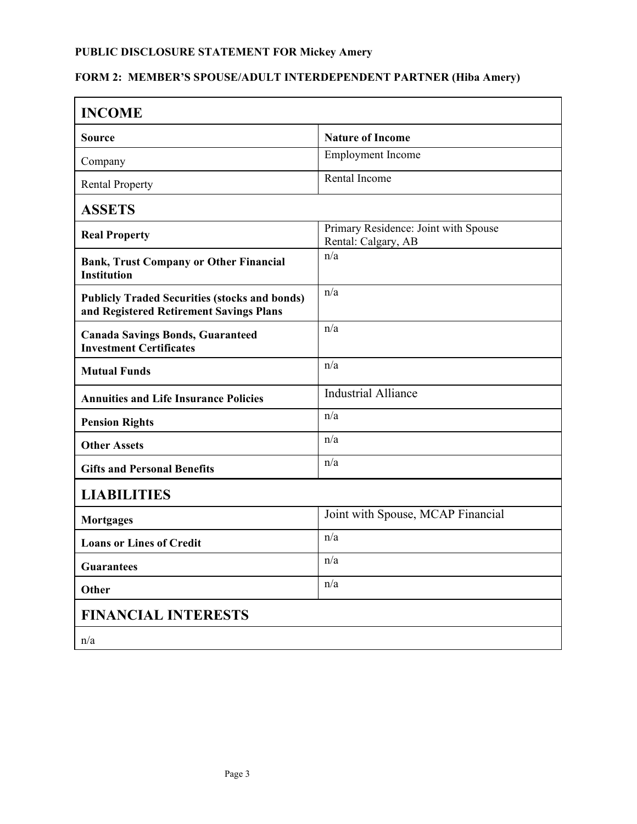# **FORM 2: MEMBER'S SPOUSE/ADULT INTERDEPENDENT PARTNER (Hiba Amery)**

| <b>INCOME</b>                                                                                   |                                                             |  |
|-------------------------------------------------------------------------------------------------|-------------------------------------------------------------|--|
| Source                                                                                          | <b>Nature of Income</b>                                     |  |
| Company                                                                                         | Employment Income                                           |  |
| <b>Rental Property</b>                                                                          | Rental Income                                               |  |
| <b>ASSETS</b>                                                                                   |                                                             |  |
| <b>Real Property</b>                                                                            | Primary Residence: Joint with Spouse<br>Rental: Calgary, AB |  |
| <b>Bank, Trust Company or Other Financial</b><br><b>Institution</b>                             | n/a                                                         |  |
| <b>Publicly Traded Securities (stocks and bonds)</b><br>and Registered Retirement Savings Plans | n/a                                                         |  |
| <b>Canada Savings Bonds, Guaranteed</b><br><b>Investment Certificates</b>                       | n/a                                                         |  |
| <b>Mutual Funds</b>                                                                             | n/a                                                         |  |
| <b>Annuities and Life Insurance Policies</b>                                                    | <b>Industrial Alliance</b>                                  |  |
| <b>Pension Rights</b>                                                                           | n/a                                                         |  |
| <b>Other Assets</b>                                                                             | n/a                                                         |  |
| <b>Gifts and Personal Benefits</b>                                                              | n/a                                                         |  |
| <b>LIABILITIES</b>                                                                              |                                                             |  |
| <b>Mortgages</b>                                                                                | Joint with Spouse, MCAP Financial                           |  |
| <b>Loans or Lines of Credit</b>                                                                 | n/a                                                         |  |
| <b>Guarantees</b>                                                                               | n/a                                                         |  |
| Other                                                                                           | n/a                                                         |  |
| <b>FINANCIAL INTERESTS</b>                                                                      |                                                             |  |
| n/a                                                                                             |                                                             |  |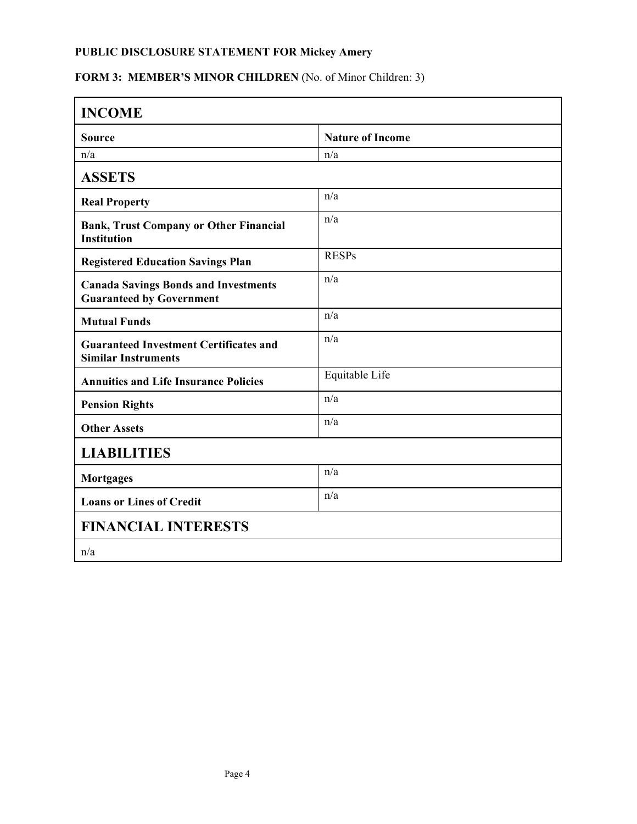# FORM 3: MEMBER'S MINOR CHILDREN (No. of Minor Children: 3)

| <b>INCOME</b>                                                                  |                         |  |
|--------------------------------------------------------------------------------|-------------------------|--|
| <b>Source</b>                                                                  | <b>Nature of Income</b> |  |
| n/a                                                                            | n/a                     |  |
| <b>ASSETS</b>                                                                  |                         |  |
| <b>Real Property</b>                                                           | n/a                     |  |
| <b>Bank, Trust Company or Other Financial</b><br><b>Institution</b>            | n/a                     |  |
| <b>Registered Education Savings Plan</b>                                       | <b>RESPs</b>            |  |
| <b>Canada Savings Bonds and Investments</b><br><b>Guaranteed by Government</b> | n/a                     |  |
| <b>Mutual Funds</b>                                                            | n/a                     |  |
| <b>Guaranteed Investment Certificates and</b><br><b>Similar Instruments</b>    | n/a                     |  |
| <b>Annuities and Life Insurance Policies</b>                                   | Equitable Life          |  |
| <b>Pension Rights</b>                                                          | n/a                     |  |
| <b>Other Assets</b>                                                            | n/a                     |  |
| <b>LIABILITIES</b>                                                             |                         |  |
| <b>Mortgages</b>                                                               | n/a                     |  |
| <b>Loans or Lines of Credit</b>                                                | n/a                     |  |
| <b>FINANCIAL INTERESTS</b>                                                     |                         |  |
| n/a                                                                            |                         |  |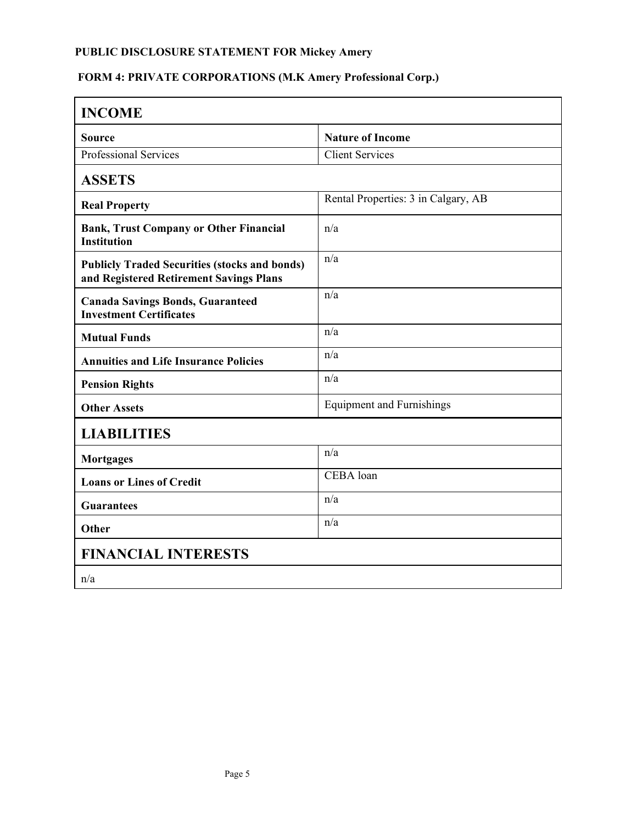# **FORM 4: PRIVATE CORPORATIONS (M.K Amery Professional Corp.)**

| <b>INCOME</b>                                                                                   |                                     |  |
|-------------------------------------------------------------------------------------------------|-------------------------------------|--|
| <b>Source</b>                                                                                   | <b>Nature of Income</b>             |  |
| Professional Services                                                                           | Client Services                     |  |
| <b>ASSETS</b>                                                                                   |                                     |  |
| <b>Real Property</b>                                                                            | Rental Properties: 3 in Calgary, AB |  |
| <b>Bank, Trust Company or Other Financial</b><br><b>Institution</b>                             | n/a                                 |  |
| <b>Publicly Traded Securities (stocks and bonds)</b><br>and Registered Retirement Savings Plans | n/a                                 |  |
| <b>Canada Savings Bonds, Guaranteed</b><br><b>Investment Certificates</b>                       | n/a                                 |  |
| <b>Mutual Funds</b>                                                                             | n/a                                 |  |
| <b>Annuities and Life Insurance Policies</b>                                                    | n/a                                 |  |
| <b>Pension Rights</b>                                                                           | n/a                                 |  |
| <b>Other Assets</b>                                                                             | <b>Equipment and Furnishings</b>    |  |
| <b>LIABILITIES</b>                                                                              |                                     |  |
| <b>Mortgages</b>                                                                                | n/a                                 |  |
| <b>Loans or Lines of Credit</b>                                                                 | CEBA loan                           |  |
| <b>Guarantees</b>                                                                               | n/a                                 |  |
| Other                                                                                           | n/a                                 |  |
| <b>FINANCIAL INTERESTS</b>                                                                      |                                     |  |
| n/a                                                                                             |                                     |  |